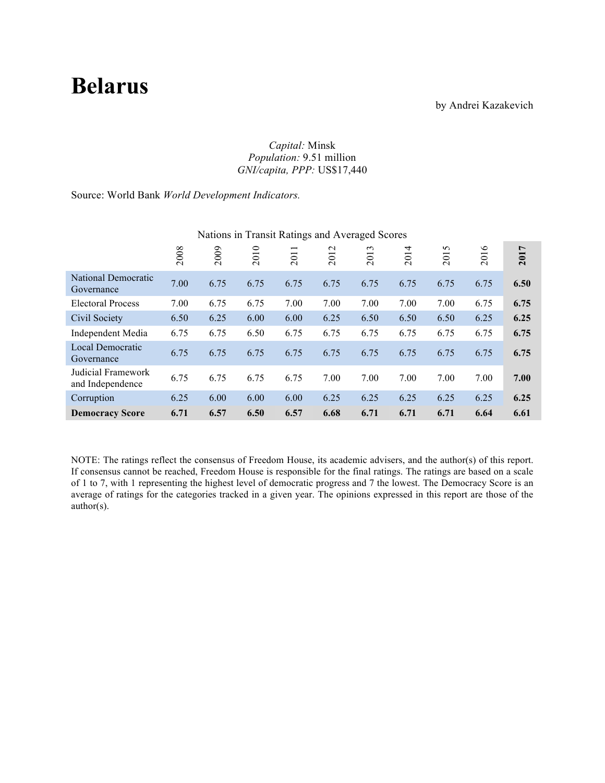# **Belarus**

by Andrei Kazakevich

#### *Capital:* Minsk *Population:* 9.51 million *GNI/capita, PPP:* US\$17,440

Source: World Bank *World Development Indicators.*

|                                        |      |      |          | -0-                             |               | ־ כ           |          |                                   |                |                       |
|----------------------------------------|------|------|----------|---------------------------------|---------------|---------------|----------|-----------------------------------|----------------|-----------------------|
|                                        | 2008 | 2009 | ○<br>201 | $\overline{\phantom{0}}$<br>201 | $\sim$<br>201 | $\sim$<br>201 | 4<br>201 | S<br>$\overline{\circ}$<br>$\sim$ | $\circ$<br>201 | $\overline{ }$<br>201 |
| National Democratic<br>Governance      | 7.00 | 6.75 | 6.75     | 6.75                            | 6.75          | 6.75          | 6.75     | 6.75                              | 6.75           | 6.50                  |
| <b>Electoral Process</b>               | 7.00 | 6.75 | 6.75     | 7.00                            | 7.00          | 7.00          | 7.00     | 7.00                              | 6.75           | 6.75                  |
| Civil Society                          | 6.50 | 6.25 | 6.00     | 6.00                            | 6.25          | 6.50          | 6.50     | 6.50                              | 6.25           | 6.25                  |
| Independent Media                      | 6.75 | 6.75 | 6.50     | 6.75                            | 6.75          | 6.75          | 6.75     | 6.75                              | 6.75           | 6.75                  |
| Local Democratic<br>Governance         | 6.75 | 6.75 | 6.75     | 6.75                            | 6.75          | 6.75          | 6.75     | 6.75                              | 6.75           | 6.75                  |
| Judicial Framework<br>and Independence | 6.75 | 6.75 | 6.75     | 6.75                            | 7.00          | 7.00          | 7.00     | 7.00                              | 7.00           | 7.00                  |
| Corruption                             | 6.25 | 6.00 | 6.00     | 6.00                            | 6.25          | 6.25          | 6.25     | 6.25                              | 6.25           | 6.25                  |
| <b>Democracy Score</b>                 | 6.71 | 6.57 | 6.50     | 6.57                            | 6.68          | 6.71          | 6.71     | 6.71                              | 6.64           | 6.61                  |

## Nations in Transit Ratings and Averaged Scores

NOTE: The ratings reflect the consensus of Freedom House, its academic advisers, and the author(s) of this report. If consensus cannot be reached, Freedom House is responsible for the final ratings. The ratings are based on a scale of 1 to 7, with 1 representing the highest level of democratic progress and 7 the lowest. The Democracy Score is an average of ratings for the categories tracked in a given year. The opinions expressed in this report are those of the author(s).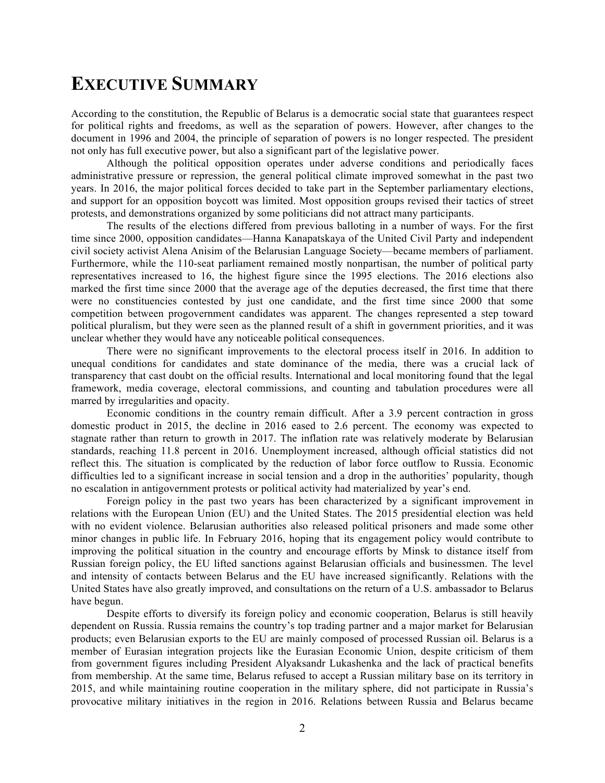# **EXECUTIVE SUMMARY**

According to the constitution, the Republic of Belarus is a democratic social state that guarantees respect for political rights and freedoms, as well as the separation of powers. However, after changes to the document in 1996 and 2004, the principle of separation of powers is no longer respected. The president not only has full executive power, but also a significant part of the legislative power.

Although the political opposition operates under adverse conditions and periodically faces administrative pressure or repression, the general political climate improved somewhat in the past two years. In 2016, the major political forces decided to take part in the September parliamentary elections, and support for an opposition boycott was limited. Most opposition groups revised their tactics of street protests, and demonstrations organized by some politicians did not attract many participants.

The results of the elections differed from previous balloting in a number of ways. For the first time since 2000, opposition candidates—Hanna Kanapatskaya of the United Civil Party and independent civil society activist Alena Anisim of the Belarusian Language Society—became members of parliament. Furthermore, while the 110-seat parliament remained mostly nonpartisan, the number of political party representatives increased to 16, the highest figure since the 1995 elections. The 2016 elections also marked the first time since 2000 that the average age of the deputies decreased, the first time that there were no constituencies contested by just one candidate, and the first time since 2000 that some competition between progovernment candidates was apparent. The changes represented a step toward political pluralism, but they were seen as the planned result of a shift in government priorities, and it was unclear whether they would have any noticeable political consequences.

There were no significant improvements to the electoral process itself in 2016. In addition to unequal conditions for candidates and state dominance of the media, there was a crucial lack of transparency that cast doubt on the official results. International and local monitoring found that the legal framework, media coverage, electoral commissions, and counting and tabulation procedures were all marred by irregularities and opacity.

Economic conditions in the country remain difficult. After a 3.9 percent contraction in gross domestic product in 2015, the decline in 2016 eased to 2.6 percent. The economy was expected to stagnate rather than return to growth in 2017. The inflation rate was relatively moderate by Belarusian standards, reaching 11.8 percent in 2016. Unemployment increased, although official statistics did not reflect this. The situation is complicated by the reduction of labor force outflow to Russia. Economic difficulties led to a significant increase in social tension and a drop in the authorities' popularity, though no escalation in antigovernment protests or political activity had materialized by year's end.

Foreign policy in the past two years has been characterized by a significant improvement in relations with the European Union (EU) and the United States. The 2015 presidential election was held with no evident violence. Belarusian authorities also released political prisoners and made some other minor changes in public life. In February 2016, hoping that its engagement policy would contribute to improving the political situation in the country and encourage efforts by Minsk to distance itself from Russian foreign policy, the EU lifted sanctions against Belarusian officials and businessmen. The level and intensity of contacts between Belarus and the EU have increased significantly. Relations with the United States have also greatly improved, and consultations on the return of a U.S. ambassador to Belarus have begun.

Despite efforts to diversify its foreign policy and economic cooperation, Belarus is still heavily dependent on Russia. Russia remains the country's top trading partner and a major market for Belarusian products; even Belarusian exports to the EU are mainly composed of processed Russian oil. Belarus is a member of Eurasian integration projects like the Eurasian Economic Union, despite criticism of them from government figures including President Alyaksandr Lukashenka and the lack of practical benefits from membership. At the same time, Belarus refused to accept a Russian military base on its territory in 2015, and while maintaining routine cooperation in the military sphere, did not participate in Russia's provocative military initiatives in the region in 2016. Relations between Russia and Belarus became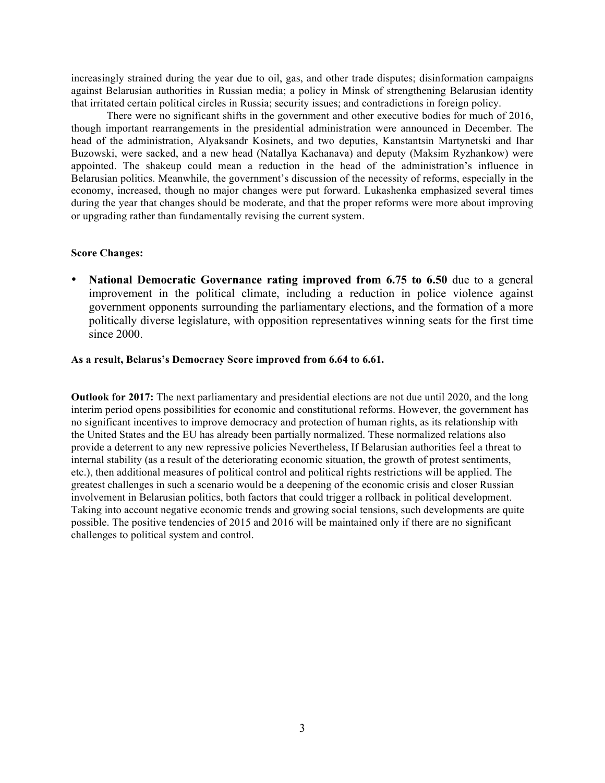increasingly strained during the year due to oil, gas, and other trade disputes; disinformation campaigns against Belarusian authorities in Russian media; a policy in Minsk of strengthening Belarusian identity that irritated certain political circles in Russia; security issues; and contradictions in foreign policy.

There were no significant shifts in the government and other executive bodies for much of 2016, though important rearrangements in the presidential administration were announced in December. The head of the administration, Alyaksandr Kosinets, and two deputies, Kanstantsin Martynetski and Ihar Buzowski, were sacked, and a new head (Natallya Kachanava) and deputy (Maksim Ryzhankow) were appointed. The shakeup could mean a reduction in the head of the administration's influence in Belarusian politics. Meanwhile, the government's discussion of the necessity of reforms, especially in the economy, increased, though no major changes were put forward. Lukashenka emphasized several times during the year that changes should be moderate, and that the proper reforms were more about improving or upgrading rather than fundamentally revising the current system.

#### **Score Changes:**

National Democratic Governance rating improved from 6.75 to 6.50 due to a general improvement in the political climate, including a reduction in police violence against government opponents surrounding the parliamentary elections, and the formation of a more politically diverse legislature, with opposition representatives winning seats for the first time since 2000.

#### **As a result, Belarus's Democracy Score improved from 6.64 to 6.61.**

**Outlook for 2017:** The next parliamentary and presidential elections are not due until 2020, and the long interim period opens possibilities for economic and constitutional reforms. However, the government has no significant incentives to improve democracy and protection of human rights, as its relationship with the United States and the EU has already been partially normalized. These normalized relations also provide a deterrent to any new repressive policies Nevertheless, If Belarusian authorities feel a threat to internal stability (as a result of the deteriorating economic situation, the growth of protest sentiments, etc.), then additional measures of political control and political rights restrictions will be applied. The greatest challenges in such a scenario would be a deepening of the economic crisis and closer Russian involvement in Belarusian politics, both factors that could trigger a rollback in political development. Taking into account negative economic trends and growing social tensions, such developments are quite possible. The positive tendencies of 2015 and 2016 will be maintained only if there are no significant challenges to political system and control.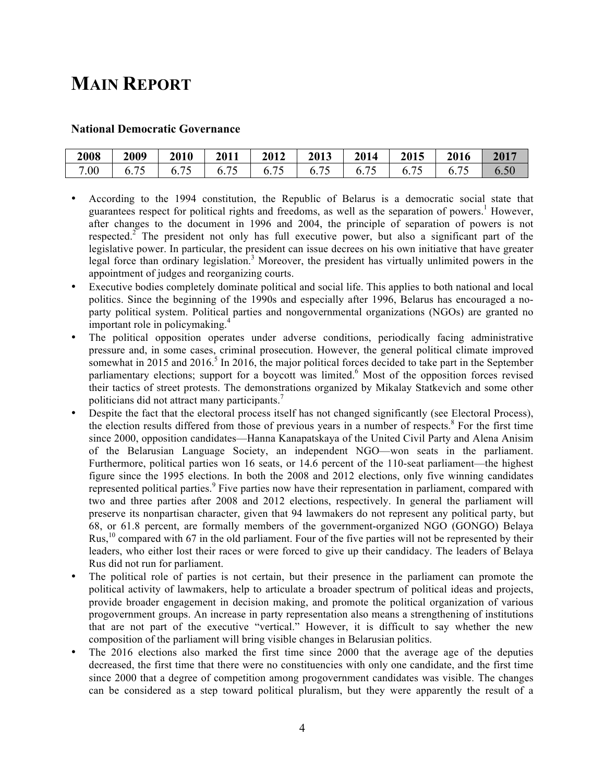# **MAIN REPORT**

#### **National Democratic Governance**

| 2008 | 2009                               | 2010 | 2011 | 2012            | 2013 | 2014                                       | 2015           | 2016           | 2017     |
|------|------------------------------------|------|------|-----------------|------|--------------------------------------------|----------------|----------------|----------|
| 7.00 | $\overline{\phantom{a}}$<br>∪. / J | 0.1  | ∪. ∠ | $\mathbf{0}$ ., | 0.7  | $\overline{\phantom{a}}$<br>$\mathbf{b}$ . | $\mathbf{U}$ . | $\mathbf{0}$ . | $6.50\,$ |

- According to the 1994 constitution, the Republic of Belarus is a democratic social state that guarantees respect for political rights and freedoms, as well as the separation of powers.<sup>1</sup> However, after changes to the document in 1996 and 2004, the principle of separation of powers is not respected.<sup>2</sup> The president not only has full executive power, but also a significant part of the legislative power. In particular, the president can issue decrees on his own initiative that have greater legal force than ordinary legislation.<sup>3</sup> Moreover, the president has virtually unlimited powers in the appointment of judges and reorganizing courts.
- Executive bodies completely dominate political and social life. This applies to both national and local politics. Since the beginning of the 1990s and especially after 1996, Belarus has encouraged a noparty political system. Political parties and nongovernmental organizations (NGOs) are granted no important role in policymaking. 4
- The political opposition operates under adverse conditions, periodically facing administrative pressure and, in some cases, criminal prosecution. However, the general political climate improved somewhat in 2015 and 2016.<sup>5</sup> In 2016, the major political forces decided to take part in the September parliamentary elections; support for a boycott was limited.<sup>6</sup> Most of the opposition forces revised their tactics of street protests. The demonstrations organized by Mikalay Statkevich and some other politicians did not attract many participants.<sup>7</sup>
- Despite the fact that the electoral process itself has not changed significantly (see Electoral Process), the election results differed from those of previous years in a number of respects. <sup>8</sup> For the first time since 2000, opposition candidates—Hanna Kanapatskaya of the United Civil Party and Alena Anisim of the Belarusian Language Society, an independent NGO—won seats in the parliament. Furthermore, political parties won 16 seats, or 14.6 percent of the 110-seat parliament—the highest figure since the 1995 elections. In both the 2008 and 2012 elections, only five winning candidates represented political parties.<sup>9</sup> Five parties now have their representation in parliament, compared with two and three parties after 2008 and 2012 elections, respectively. In general the parliament will preserve its nonpartisan character, given that 94 lawmakers do not represent any political party, but 68, or 61.8 percent, are formally members of the government-organized NGO (GONGO) Belaya Rus,<sup>10</sup> compared with 67 in the old parliament. Four of the five parties will not be represented by their leaders, who either lost their races or were forced to give up their candidacy. The leaders of Belaya Rus did not run for parliament.
- The political role of parties is not certain, but their presence in the parliament can promote the political activity of lawmakers, help to articulate a broader spectrum of political ideas and projects, provide broader engagement in decision making, and promote the political organization of various progovernment groups. An increase in party representation also means a strengthening of institutions that are not part of the executive "vertical." However, it is difficult to say whether the new composition of the parliament will bring visible changes in Belarusian politics.
- The 2016 elections also marked the first time since 2000 that the average age of the deputies decreased, the first time that there were no constituencies with only one candidate, and the first time since 2000 that a degree of competition among progovernment candidates was visible. The changes can be considered as a step toward political pluralism, but they were apparently the result of a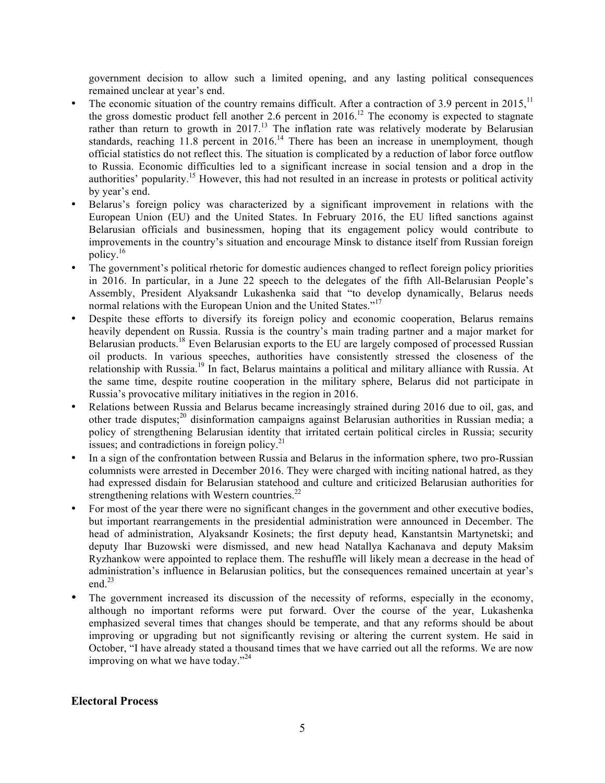government decision to allow such a limited opening, and any lasting political consequences remained unclear at year's end.

- The economic situation of the country remains difficult. After a contraction of 3.9 percent in 2015,<sup>11</sup> the gross domestic product fell another 2.6 percent in 2016.<sup>12</sup> The economy is expected to stagnate rather than return to growth in 2017.<sup>13</sup> The inflation rate was relatively moderate by Belarusian standards, reaching 11.8 percent in 2016.<sup>14</sup> There has been an increase in unemployment, though official statistics do not reflect this. The situation is complicated by a reduction of labor force outflow to Russia. Economic difficulties led to a significant increase in social tension and a drop in the authorities' popularity.<sup>15</sup> However, this had not resulted in an increase in protests or political activity by year's end.
- Belarus's foreign policy was characterized by a significant improvement in relations with the European Union (EU) and the United States. In February 2016, the EU lifted sanctions against Belarusian officials and businessmen, hoping that its engagement policy would contribute to improvements in the country's situation and encourage Minsk to distance itself from Russian foreign policy. 16
- The government's political rhetoric for domestic audiences changed to reflect foreign policy priorities in 2016. In particular, in a June 22 speech to the delegates of the fifth All-Belarusian People's Assembly, President Alyaksandr Lukashenka said that "to develop dynamically, Belarus needs normal relations with the European Union and the United States."<sup>17</sup>
- Despite these efforts to diversify its foreign policy and economic cooperation, Belarus remains heavily dependent on Russia. Russia is the country's main trading partner and a major market for Belarusian products.<sup>18</sup> Even Belarusian exports to the EU are largely composed of processed Russian oil products. In various speeches, authorities have consistently stressed the closeness of the relationship with Russia.<sup>19</sup> In fact, Belarus maintains a political and military alliance with Russia. At the same time, despite routine cooperation in the military sphere, Belarus did not participate in Russia's provocative military initiatives in the region in 2016.
- Relations between Russia and Belarus became increasingly strained during 2016 due to oil, gas, and other trade disputes;<sup>20</sup> disinformation campaigns against Belarusian authorities in Russian media; a policy of strengthening Belarusian identity that irritated certain political circles in Russia; security issues; and contradictions in foreign policy. $^{21}$
- In a sign of the confrontation between Russia and Belarus in the information sphere, two pro-Russian columnists were arrested in December 2016. They were charged with inciting national hatred, as they had expressed disdain for Belarusian statehood and culture and criticized Belarusian authorities for strengthening relations with Western countries. $^{22}$
- For most of the year there were no significant changes in the government and other executive bodies, but important rearrangements in the presidential administration were announced in December. The head of administration, Alyaksandr Kosinets; the first deputy head, Kanstantsin Martynetski; and deputy Ihar Buzowski were dismissed, and new head Natallya Kachanava and deputy Maksim Ryzhankow were appointed to replace them. The reshuffle will likely mean a decrease in the head of administration's influence in Belarusian politics, but the consequences remained uncertain at year's end. 23
- The government increased its discussion of the necessity of reforms, especially in the economy, although no important reforms were put forward. Over the course of the year, Lukashenka emphasized several times that changes should be temperate, and that any reforms should be about improving or upgrading but not significantly revising or altering the current system. He said in October, "I have already stated a thousand times that we have carried out all the reforms. We are now improving on what we have today."<sup>24</sup>

#### **Electoral Process**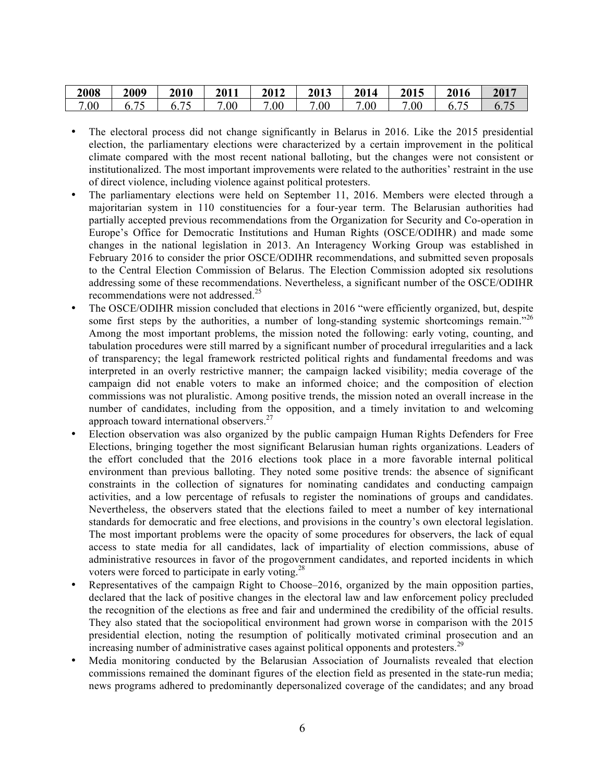| 2008 | 2009 | 2010                     | 2011    | 2012 | 2013    | 2014 | 2015 | 2016           | 2017 |
|------|------|--------------------------|---------|------|---------|------|------|----------------|------|
| 7.00 |      | $\overline{\phantom{m}}$ | $.00\,$ | .00  | $.00\,$ | .00  | .vv  | $\mathbf{0}$ . |      |

- The electoral process did not change significantly in Belarus in 2016. Like the 2015 presidential election, the parliamentary elections were characterized by a certain improvement in the political climate compared with the most recent national balloting, but the changes were not consistent or institutionalized. The most important improvements were related to the authorities' restraint in the use of direct violence, including violence against political protesters.
- The parliamentary elections were held on September 11, 2016. Members were elected through a majoritarian system in 110 constituencies for a four-year term. The Belarusian authorities had partially accepted previous recommendations from the Organization for Security and Co-operation in Europe's Office for Democratic Institutions and Human Rights (OSCE/ODIHR) and made some changes in the national legislation in 2013. An Interagency Working Group was established in February 2016 to consider the prior OSCE/ODIHR recommendations, and submitted seven proposals to the Central Election Commission of Belarus. The Election Commission adopted six resolutions addressing some of these recommendations. Nevertheless, a significant number of the OSCE/ODIHR recommendations were not addressed.<sup>25</sup>
- The OSCE/ODIHR mission concluded that elections in 2016 "were efficiently organized, but, despite some first steps by the authorities, a number of long-standing systemic shortcomings remain.<sup> $26$ </sup> Among the most important problems, the mission noted the following: early voting, counting, and tabulation procedures were still marred by a significant number of procedural irregularities and a lack of transparency; the legal framework restricted political rights and fundamental freedoms and was interpreted in an overly restrictive manner; the campaign lacked visibility; media coverage of the campaign did not enable voters to make an informed choice; and the composition of election commissions was not pluralistic. Among positive trends, the mission noted an overall increase in the number of candidates, including from the opposition, and a timely invitation to and welcoming approach toward international observers.<sup>27</sup>
- Election observation was also organized by the public campaign Human Rights Defenders for Free Elections, bringing together the most significant Belarusian human rights organizations. Leaders of the effort concluded that the 2016 elections took place in a more favorable internal political environment than previous balloting. They noted some positive trends: the absence of significant constraints in the collection of signatures for nominating candidates and conducting campaign activities, and a low percentage of refusals to register the nominations of groups and candidates. Nevertheless, the observers stated that the elections failed to meet a number of key international standards for democratic and free elections, and provisions in the country's own electoral legislation. The most important problems were the opacity of some procedures for observers, the lack of equal access to state media for all candidates, lack of impartiality of election commissions, abuse of administrative resources in favor of the progovernment candidates, and reported incidents in which voters were forced to participate in early voting.<sup>28</sup>
- Representatives of the campaign Right to Choose–2016, organized by the main opposition parties, declared that the lack of positive changes in the electoral law and law enforcement policy precluded the recognition of the elections as free and fair and undermined the credibility of the official results. They also stated that the sociopolitical environment had grown worse in comparison with the 2015 presidential election, noting the resumption of politically motivated criminal prosecution and an increasing number of administrative cases against political opponents and protesters.<sup>29</sup>
- Media monitoring conducted by the Belarusian Association of Journalists revealed that election commissions remained the dominant figures of the election field as presented in the state-run media; news programs adhered to predominantly depersonalized coverage of the candidates; and any broad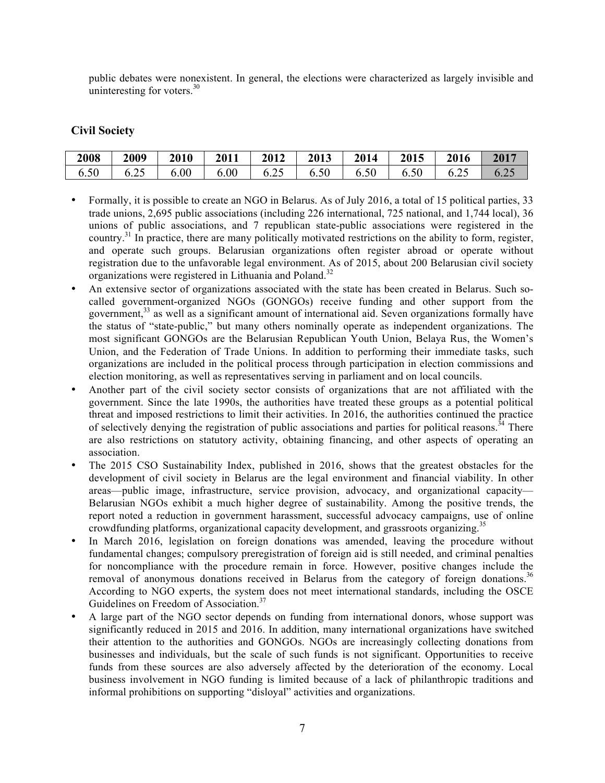public debates were nonexistent. In general, the elections were characterized as largely invisible and uninteresting for voters. $30$ 

### **Civil Society**

| 2008 | 2009 | 2010 | 2011 | 2012       | 2013 | 2014 | 2015 | 2016 | 2017 |
|------|------|------|------|------------|------|------|------|------|------|
| 6.50 | 0.22 | 6.00 | 6.00 | つく<br>0.25 | 6.50 | 6.50 | 6.50 | 6.25 | ∪.∠J |

- Formally, it is possible to create an NGO in Belarus. As of July 2016, a total of 15 political parties, 33 trade unions, 2,695 public associations (including 226 international, 725 national, and 1,744 local), 36 unions of public associations, and 7 republican state-public associations were registered in the country.31 In practice, there are many politically motivated restrictions on the ability to form, register, and operate such groups. Belarusian organizations often register abroad or operate without registration due to the unfavorable legal environment. As of 2015, about 200 Belarusian civil society organizations were registered in Lithuania and Poland.<sup>32</sup>
- An extensive sector of organizations associated with the state has been created in Belarus. Such socalled government-organized NGOs (GONGOs) receive funding and other support from the government, $33$  as well as a significant amount of international aid. Seven organizations formally have the status of "state-public," but many others nominally operate as independent organizations. The most significant GONGOs are the Belarusian Republican Youth Union, Belaya Rus, the Women's Union, and the Federation of Trade Unions. In addition to performing their immediate tasks, such organizations are included in the political process through participation in election commissions and election monitoring, as well as representatives serving in parliament and on local councils.
- Another part of the civil society sector consists of organizations that are not affiliated with the government. Since the late 1990s, the authorities have treated these groups as a potential political threat and imposed restrictions to limit their activities. In 2016, the authorities continued the practice of selectively denying the registration of public associations and parties for political reasons.<sup>34</sup> There are also restrictions on statutory activity, obtaining financing, and other aspects of operating an association.
- The 2015 CSO Sustainability Index, published in 2016, shows that the greatest obstacles for the development of civil society in Belarus are the legal environment and financial viability. In other areas—public image, infrastructure, service provision, advocacy, and organizational capacity— Belarusian NGOs exhibit a much higher degree of sustainability. Among the positive trends, the report noted a reduction in government harassment, successful advocacy campaigns, use of online crowdfunding platforms, organizational capacity development, and grassroots organizing.<sup>35</sup>
- In March 2016, legislation on foreign donations was amended, leaving the procedure without fundamental changes; compulsory preregistration of foreign aid is still needed, and criminal penalties for noncompliance with the procedure remain in force. However, positive changes include the removal of anonymous donations received in Belarus from the category of foreign donations.<sup>36</sup> According to NGO experts, the system does not meet international standards, including the OSCE Guidelines on Freedom of Association.<sup>37</sup>
- A large part of the NGO sector depends on funding from international donors, whose support was significantly reduced in 2015 and 2016. In addition, many international organizations have switched their attention to the authorities and GONGOs. NGOs are increasingly collecting donations from businesses and individuals, but the scale of such funds is not significant. Opportunities to receive funds from these sources are also adversely affected by the deterioration of the economy. Local business involvement in NGO funding is limited because of a lack of philanthropic traditions and informal prohibitions on supporting "disloyal" activities and organizations.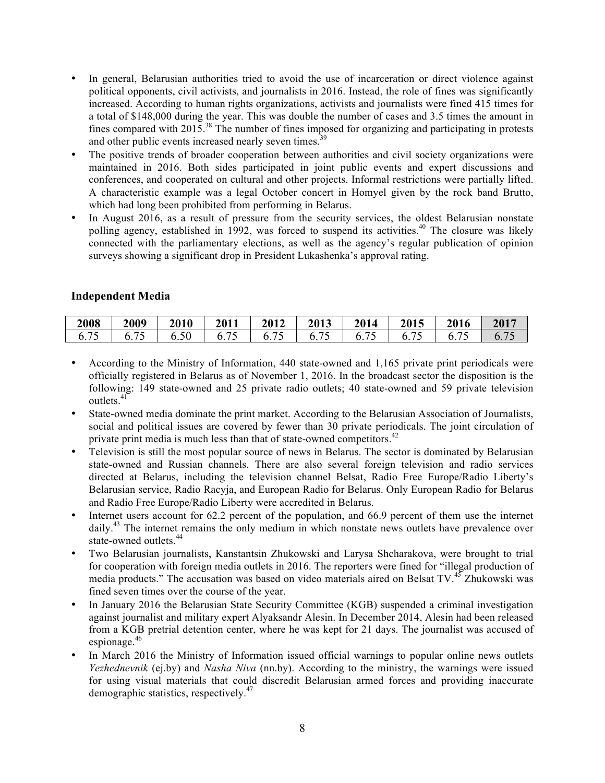- In general, Belarusian authorities tried to avoid the use of incarceration or direct violence against political opponents, civil activists, and journalists in 2016. Instead, the role of fines was significantly increased. According to human rights organizations, activists and journalists were fined 415 times for a total of \$148,000 during the year. This was double the number of cases and 3.5 times the amount in fines compared with 2015.38 The number of fines imposed for organizing and participating in protests and other public events increased nearly seven times.<sup>39</sup>
- The positive trends of broader cooperation between authorities and civil society organizations were maintained in 2016. Both sides participated in joint public events and expert discussions and conferences, and cooperated on cultural and other projects. Informal restrictions were partially lifted. A characteristic example was a legal October concert in Homyel given by the rock band Brutto, which had long been prohibited from performing in Belarus.
- In August 2016, as a result of pressure from the security services, the oldest Belarusian nonstate polling agency, established in 1992, was forced to suspend its activities.<sup>40</sup> The closure was likely connected with the parliamentary elections, as well as the agency's regular publication of opinion surveys showing a significant drop in President Lukashenka's approval rating.

## **Independent Media**

| 2008 | 2009 | 2010 | 2011 | 2012 | 2013           | 2014 | 2015 | 2016 | 2017 |
|------|------|------|------|------|----------------|------|------|------|------|
| ◡.   |      |      | . .  |      | $\mathbf{0}$ . |      |      |      |      |

- According to the Ministry of Information, 440 state-owned and 1,165 private print periodicals were officially registered in Belarus as of November 1, 2016. In the broadcast sector the disposition is the following: 149 state-owned and 25 private radio outlets; 40 state-owned and 59 private television outlets.<sup>41</sup>
- State-owned media dominate the print market. According to the Belarusian Association of Journalists, social and political issues are covered by fewer than 30 private periodicals. The joint circulation of private print media is much less than that of state-owned competitors.<sup>42</sup>
- Television is still the most popular source of news in Belarus. The sector is dominated by Belarusian state-owned and Russian channels. There are also several foreign television and radio services directed at Belarus, including the television channel Belsat, Radio Free Europe/Radio Liberty's Belarusian service, Radio Racyja, and European Radio for Belarus. Only European Radio for Belarus and Radio Free Europe/Radio Liberty were accredited in Belarus.
- Internet users account for 62.2 percent of the population, and 66.9 percent of them use the internet daily.<sup>43</sup> The internet remains the only medium in which nonstate news outlets have prevalence over state-owned outlets.<sup>44</sup>
- Two Belarusian journalists, Kanstantsin Zhukowski and Larysa Shcharakova, were brought to trial for cooperation with foreign media outlets in 2016. The reporters were fined for "illegal production of media products." The accusation was based on video materials aired on Belsat TV.<sup>45</sup> Zhukowski was fined seven times over the course of the year.
- In January 2016 the Belarusian State Security Committee (KGB) suspended a criminal investigation against journalist and military expert Alyaksandr Alesin. In December 2014, Alesin had been released from a KGB pretrial detention center, where he was kept for 21 days. The journalist was accused of espionage.<sup>46</sup>
- In March 2016 the Ministry of Information issued official warnings to popular online news outlets *Yezhednevnik* (ej.by) and *Nasha Niva* (nn.by). According to the ministry, the warnings were issued for using visual materials that could discredit Belarusian armed forces and providing inaccurate demographic statistics, respectively.<sup>47</sup>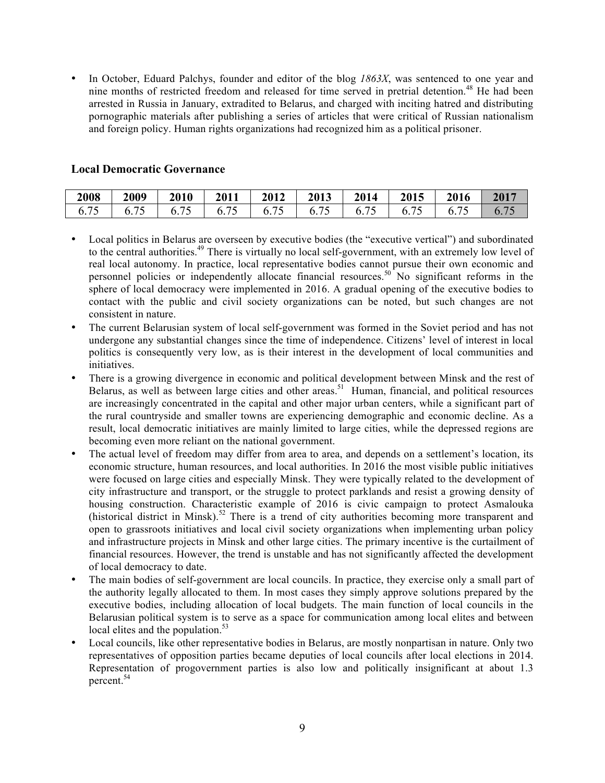• In October, Eduard Palchys, founder and editor of the blog *1863X*, was sentenced to one year and nine months of restricted freedom and released for time served in pretrial detention.<sup>48</sup> He had been arrested in Russia in January, extradited to Belarus, and charged with inciting hatred and distributing pornographic materials after publishing a series of articles that were critical of Russian nationalism and foreign policy. Human rights organizations had recognized him as a political prisoner.

#### **Local Democratic Governance**

| 2008 | 2009           | 2010 | 2011 | 2012 | 2013 | 2014           | 2015 | 2016 | 2017 |
|------|----------------|------|------|------|------|----------------|------|------|------|
| 0.7  | $\mathbf{0}$ . |      |      |      | h    | $\mathbf{b}$ . |      |      |      |

- Local politics in Belarus are overseen by executive bodies (the "executive vertical") and subordinated to the central authorities.<sup>49</sup> There is virtually no local self-government, with an extremely low level of real local autonomy. In practice, local representative bodies cannot pursue their own economic and personnel policies or independently allocate financial resources.<sup>50</sup> No significant reforms in the sphere of local democracy were implemented in 2016. A gradual opening of the executive bodies to contact with the public and civil society organizations can be noted, but such changes are not consistent in nature.
- The current Belarusian system of local self-government was formed in the Soviet period and has not undergone any substantial changes since the time of independence. Citizens' level of interest in local politics is consequently very low, as is their interest in the development of local communities and initiatives.
- There is a growing divergence in economic and political development between Minsk and the rest of Belarus, as well as between large cities and other areas.<sup>51</sup> Human, financial, and political resources are increasingly concentrated in the capital and other major urban centers, while a significant part of the rural countryside and smaller towns are experiencing demographic and economic decline. As a result, local democratic initiatives are mainly limited to large cities, while the depressed regions are becoming even more reliant on the national government.
- The actual level of freedom may differ from area to area, and depends on a settlement's location, its economic structure, human resources, and local authorities. In 2016 the most visible public initiatives were focused on large cities and especially Minsk. They were typically related to the development of city infrastructure and transport, or the struggle to protect parklands and resist a growing density of housing construction. Characteristic example of 2016 is civic campaign to protect Asmalouka (historical district in Minsk). <sup>52</sup> There is a trend of city authorities becoming more transparent and open to grassroots initiatives and local civil society organizations when implementing urban policy and infrastructure projects in Minsk and other large cities. The primary incentive is the curtailment of financial resources. However, the trend is unstable and has not significantly affected the development of local democracy to date.
- The main bodies of self-government are local councils. In practice, they exercise only a small part of the authority legally allocated to them. In most cases they simply approve solutions prepared by the executive bodies, including allocation of local budgets. The main function of local councils in the Belarusian political system is to serve as a space for communication among local elites and between local elites and the population.<sup>53</sup>
- Local councils, like other representative bodies in Belarus, are mostly nonpartisan in nature. Only two representatives of opposition parties became deputies of local councils after local elections in 2014. Representation of progovernment parties is also low and politically insignificant at about 1.3 percent. 54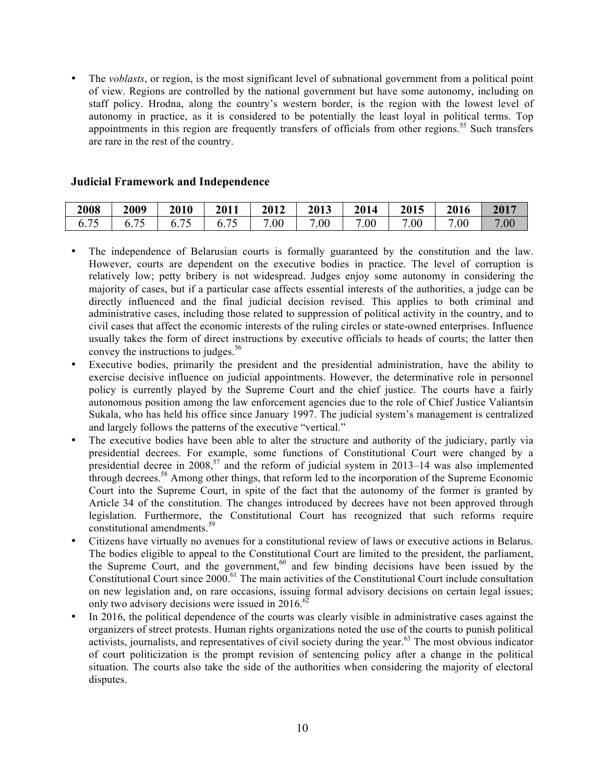• The *voblasts*, or region, is the most significant level of subnational government from a political point of view. Regions are controlled by the national government but have some autonomy, including on staff policy. Hrodna, along the country's western border, is the region with the lowest level of autonomy in practice, as it is considered to be potentially the least loyal in political terms. Top appointments in this region are frequently transfers of officials from other regions.<sup>55</sup> Such transfers are rare in the rest of the country.

#### **Judicial Framework and Independence**

| 2008 | 2009                             | 2010 | 2011 | 2012 | 2013 | 2014 | 2015 | 2016 | 2017                |
|------|----------------------------------|------|------|------|------|------|------|------|---------------------|
| 0.73 | $\overline{\phantom{a}}$<br>◡. ៸ |      | 0.75 | .00  | .00  | 7.00 | .00  | .00  | .00<br>$\mathbf{r}$ |

- The independence of Belarusian courts is formally guaranteed by the constitution and the law. However, courts are dependent on the executive bodies in practice. The level of corruption is relatively low; petty bribery is not widespread. Judges enjoy some autonomy in considering the majority of cases, but if a particular case affects essential interests of the authorities, a judge can be directly influenced and the final judicial decision revised. This applies to both criminal and administrative cases, including those related to suppression of political activity in the country, and to civil cases that affect the economic interests of the ruling circles or state-owned enterprises. Influence usually takes the form of direct instructions by executive officials to heads of courts; the latter then convey the instructions to judges. $56$
- Executive bodies, primarily the president and the presidential administration, have the ability to exercise decisive influence on judicial appointments. However, the determinative role in personnel policy is currently played by the Supreme Court and the chief justice. The courts have a fairly autonomous position among the law enforcement agencies due to the role of Chief Justice Valiantsin Sukala, who has held his office since January 1997. The judicial system's management is centralized and largely follows the patterns of the executive "vertical."
- The executive bodies have been able to alter the structure and authority of the judiciary, partly via presidential decrees. For example, some functions of Constitutional Court were changed by a presidential decree in 2008,<sup>57</sup> and the reform of judicial system in 2013–14 was also implemented through decrees.<sup>58</sup> Among other things, that reform led to the incorporation of the Supreme Economic Court into the Supreme Court, in spite of the fact that the autonomy of the former is granted by Article 34 of the constitution. The changes introduced by decrees have not been approved through legislation. Furthermore, the Constitutional Court has recognized that such reforms require constitutional amendments.<sup>59</sup>
- Citizens have virtually no avenues for a constitutional review of laws or executive actions in Belarus. The bodies eligible to appeal to the Constitutional Court are limited to the president, the parliament, the Supreme Court, and the government, $60$  and few binding decisions have been issued by the Constitutional Court since 2000.<sup>61</sup> The main activities of the Constitutional Court include consultation on new legislation and, on rare occasions, issuing formal advisory decisions on certain legal issues; only two advisory decisions were issued in  $2016$ .<sup>62</sup>
- In 2016, the political dependence of the courts was clearly visible in administrative cases against the organizers of street protests. Human rights organizations noted the use of the courts to punish political activists, journalists, and representatives of civil society during the year.<sup>63</sup> The most obvious indicator of court politicization is the prompt revision of sentencing policy after a change in the political situation. The courts also take the side of the authorities when considering the majority of electoral disputes.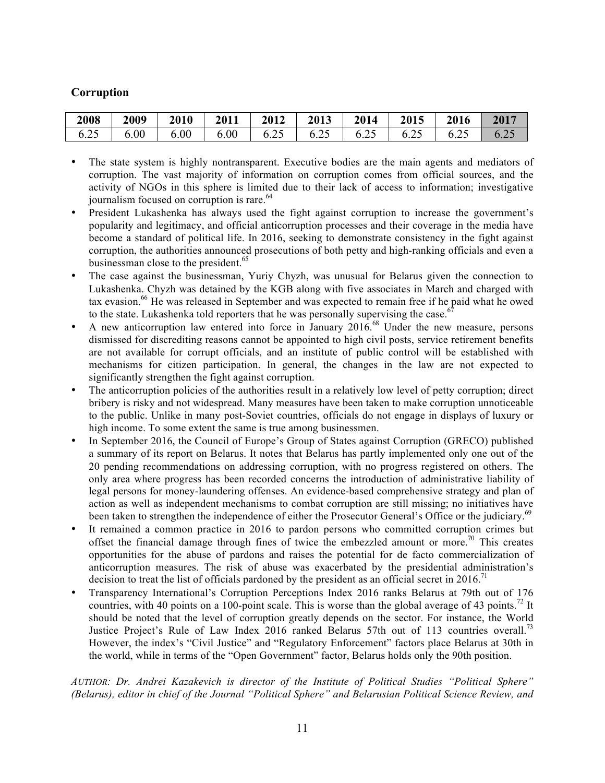### **Corruption**

| 2008 | 2009 | 2010 | 2011 | $\vert$ 2012 | 2013 | 2014                     | 2015 | 2016                    | 2017 |
|------|------|------|------|--------------|------|--------------------------|------|-------------------------|------|
| 6.25 | 6.00 | 6.00 | 6.00 |              |      | $6.25$   $6.25$   $6.25$ | 6.25 | $\sim$ $\frac{6.25}{ }$ | 6.25 |

- The state system is highly nontransparent. Executive bodies are the main agents and mediators of corruption. The vast majority of information on corruption comes from official sources, and the activity of NGOs in this sphere is limited due to their lack of access to information; investigative journalism focused on corruption is rare.<sup>64</sup>
- President Lukashenka has always used the fight against corruption to increase the government's popularity and legitimacy, and official anticorruption processes and their coverage in the media have become a standard of political life. In 2016, seeking to demonstrate consistency in the fight against corruption, the authorities announced prosecutions of both petty and high-ranking officials and even a businessman close to the president.<sup>65</sup>
- The case against the businessman, Yuriy Chyzh, was unusual for Belarus given the connection to Lukashenka. Chyzh was detained by the KGB along with five associates in March and charged with tax evasion.<sup>66</sup> He was released in September and was expected to remain free if he paid what he owed to the state. Lukashenka told reporters that he was personally supervising the case.<sup>6</sup>
- A new anticorruption law entered into force in January 2016.<sup>68</sup> Under the new measure, persons dismissed for discrediting reasons cannot be appointed to high civil posts, service retirement benefits are not available for corrupt officials, and an institute of public control will be established with mechanisms for citizen participation. In general, the changes in the law are not expected to significantly strengthen the fight against corruption.
- The anticorruption policies of the authorities result in a relatively low level of petty corruption; direct bribery is risky and not widespread. Many measures have been taken to make corruption unnoticeable to the public. Unlike in many post-Soviet countries, officials do not engage in displays of luxury or high income. To some extent the same is true among businessmen.
- In September 2016, the Council of Europe's Group of States against Corruption (GRECO) published a summary of its report on Belarus. It notes that Belarus has partly implemented only one out of the 20 pending recommendations on addressing corruption, with no progress registered on others. The only area where progress has been recorded concerns the introduction of administrative liability of legal persons for money-laundering offenses. An evidence-based comprehensive strategy and plan of action as well as independent mechanisms to combat corruption are still missing; no initiatives have been taken to strengthen the independence of either the Prosecutor General's Office or the judiciary.<sup>69</sup>
- It remained a common practice in 2016 to pardon persons who committed corruption crimes but offset the financial damage through fines of twice the embezzled amount or more.<sup>70</sup> This creates opportunities for the abuse of pardons and raises the potential for de facto commercialization of anticorruption measures. The risk of abuse was exacerbated by the presidential administration's decision to treat the list of officials pardoned by the president as an official secret in 2016.<sup>71</sup>
- Transparency International's Corruption Perceptions Index 2016 ranks Belarus at 79th out of 176 countries, with 40 points on a 100-point scale. This is worse than the global average of 43 points.<sup>72</sup> It should be noted that the level of corruption greatly depends on the sector. For instance, the World Justice Project's Rule of Law Index 2016 ranked Belarus 57th out of 113 countries overall.<sup>73</sup> However, the index's "Civil Justice" and "Regulatory Enforcement" factors place Belarus at 30th in the world, while in terms of the "Open Government" factor, Belarus holds only the 90th position.

#### *AUTHOR: Dr. Andrei Kazakevich is director of the Institute of Political Studies "Political Sphere" (Belarus), editor in chief of the Journal "Political Sphere" and Belarusian Political Science Review, and*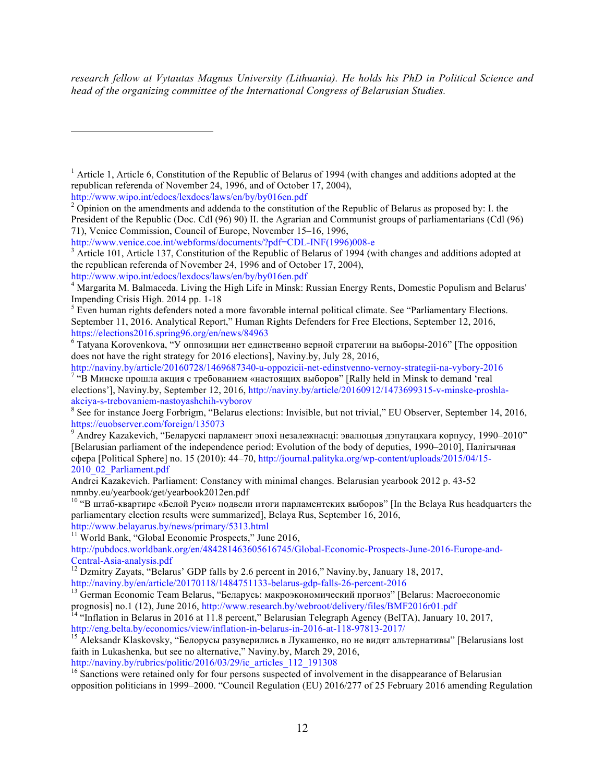*research fellow at Vytautas Magnus University (Lithuania). He holds his PhD in Political Science and head of the organizing committee of the International Congress of Belarusian Studies.*

http://www.wipo.int/edocs/lexdocs/laws/en/by/by016en.pdf

 $\overline{a}$ 

http://www.wipo.int/edocs/lexdocs/laws/en/by/by016en.pdf

 $\frac{7}{10}$   $\ldots$   $\ldots$   $\ldots$  mpc arrow are  $\ldots$   $\ldots$   $\ldots$   $\ldots$   $\ldots$   $\ldots$   $\ldots$   $\ldots$   $\ldots$   $\ldots$   $\ldots$   $\ldots$   $\ldots$   $\ldots$   $\ldots$   $\ldots$   $\ldots$   $\ldots$   $\ldots$   $\ldots$   $\ldots$   $\ldots$   $\ldots$   $\ldots$   $\ldots$   $\ldots$   $\ldots$   $\ldots$   $\ldots$   $\ld$ 

http://www.belayarus.by/news/primary/5313.html <sup>11</sup> World Bank, "Global Economic Prospects," June 2016,

http://pubdocs.worldbank.org/en/484281463605616745/Global-Economic-Prospects-June-2016-Europe-and-

```
<sup>12</sup> Dzmitry Zayats, "Belarus' GDP falls by 2.6 percent in 2016," Naviny.by, January 18, 2017, http://naviny.by/en/article/20170118/1484751133-belarus-gdp-falls-26-percent-2016
```
<sup>13</sup> German Economic Team Belarus, "Беларусь: макроэкономический прогноз" [Belarus: Macroeconomic

<sup>16</sup> Sanctions were retained only for four persons suspected of involvement in the disappearance of Belarusian opposition politicians in 1999–2000. "Council Regulation (EU) 2016/277 of 25 February 2016 amending Regulation

<sup>&</sup>lt;sup>1</sup> Article 1, Article 6, Constitution of the Republic of Belarus of 1994 (with changes and additions adopted at the republican referenda of November 24, 1996, and of October 17, 2004),

<sup>&</sup>lt;sup>2</sup> Opinion on the amendments and addenda to the constitution of the Republic of Belarus as proposed by: I. the President of the Republic (Doc. Cdl (96) 90) II. the Agrarian and Communist groups of parliamentarians (Cdl (96) 71), Venice Commission, Council of Europe, November 15–16, 1996,

http://www.venice.coe.int/webforms/documents/?pdf=CDL-INF(1996)008-e<br><sup>3</sup> Article 101, Article 137, Constitution of the Republic of Belarus of 1994 (with changes and additions adopted at the republican referenda of November 24, 1996 and of October 17, 2004),

<sup>&</sup>lt;sup>4</sup> Margarita M. Balmaceda. Living the High Life in Minsk: Russian Energy Rents, Domestic Populism and Belarus' Impending Crisis High. 2014 pp. 1-18<br><sup>5</sup> Even human rights defenders noted a more favorable internal political climate. See "Parliamentary Elections.

September 11, 2016. Analytical Report," Human Rights Defenders for Free Elections, September 12, 2016, https://elections2016.spring96.org/en/news/84963

 $6$  Tatyana Korovenkova, "У оппозиции нет единственно верной стратегии на выборы-2016" [The opposition does not have the right strategy for 2016 elections], Naviny.by, July 28, 2016,<br>http://naviny.by/article/20160728/1469687340-u-oppozicii-net-edinstvenno-vernoy-strategii-na-vybory-2016

elections'], Naviny.by, September 12, 2016, http://naviny.by/article/20160912/1473699315-v-minske-proshla-

akciya-s-trebovaniem-nastoyashchih-vyborov<br><sup>8</sup> See for instance Joerg Forbrigm, "Belarus elections: Invisible, but not trivial," EU Observer, September 14, 2016, https://euobserver.com/foreign/135073

<sup>&</sup>lt;sup>9</sup> Andrey Kazakevich, "Беларускі парламент эпохі незалежнасці: эвалюцыя дэпутацкага корпусу, 1990–2010" [Belarusian parliament of the independence period: Evolution of the body of deputies, 1990–2010], Палітычная сфера [Political Sphere] no. 15 (2010): 44–70, http://journal.palityka.org/wp-content/uploads/2015/04/15- 2010\_02\_Parliament.pdf

Andrei Kazakevich. Parliament: Constancy with minimal changes. Belarusian yearbook 2012 p. 43-52 nmnby.eu/yearbook/get/yearbook2012en.pdf

<sup>&</sup>lt;sup>10</sup> "В штаб-квартире «Белой Руси» подвели итоги парламентских выборов" [In the Belaya Rus headquarters the parliamentary election results were summarized], Belaya Rus, September 16, 2016,

prognosis] no.1 (12), June 2016, http://www.research.by/webroot/delivery/files/BMF2016r01.pdf<br><sup>14</sup> "Inflation in Belarus in 2016 at 11.8 percent," Belarusian Telegraph Agency (BelTA), January 10, 2017,<br>http://eng.belta.by/

<sup>&</sup>lt;sup>15</sup> Aleksandr Klaskovsky, "Белорусы разуверились в Лукашенко, но не видят альтернативы" [Belarusians lost faith in Lukashenka, but see no alternative," Naviny.by, March 29, 2016, http://naviny.by/rubrics/politic/2016/03/29/ic\_articles\_112\_191308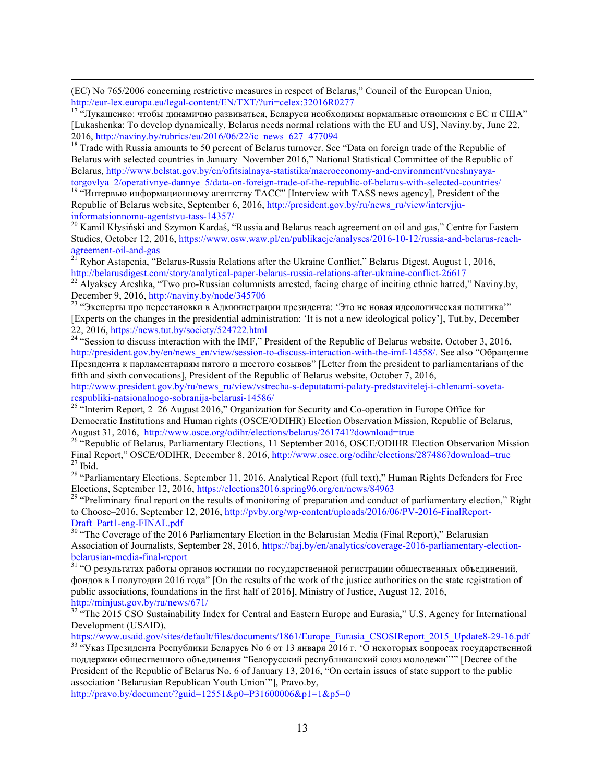(EC) No 765/2006 concerning restrictive measures in respect of Belarus," Council of the European Union, http://eur-lex.europa.eu/legal-content/EN/TXT/?uri=celex:32016R0277<br><sup>17</sup> "Лукашенко: чтобы динамично развиваться, Беларуси необходимы нормальные отношения с ЕС и США"

[Lukashenka: To develop dynamically, Belarus needs normal relations with the EU and US], Naviny.by, June 22, 2016, http://naviny.by/rubrics/eu/2016/06/22/ic\_news\_627\_477094<br><sup>18</sup> Trade with Russia amounts to 50 percent of Belarus turnover. See "Data on foreign trade of the Republic of

Belarus with selected countries in January–November 2016," National Statistical Committee of the Republic of Belarus, http://www.belstat.gov.by/en/ofitsialnaya-statistika/macroeconomy-and-environment/vneshnyaya-<br>torgovlya 2/operativnye-dannye 5/data-on-foreign-trade-of-the-republic-of-belarus-with-selected-countries/

<sup>19</sup> "Интервью информационному агентству ТАСС" [Interview with TASS news agency], President of the Republic of Belarus website, September 6, 2016, http://president.gov.by/ru/news\_ru/view/intervjju-

informatsionnomu-agentstvu-tass-14357/<br><sup>20</sup> Kamil Kłysiński and Szymon Kardaś, "Russia and Belarus reach agreement on oil and gas," Centre for Eastern Studies, October 12, 2016, https://www.osw.waw.pl/en/publikacje/analyses/2016-10-12/russia-and-belarus-reach-

agreement-oil-and-gas<br><sup>21</sup> Ryhor Astapenia, "Belarus-Russia Relations after the Ukraine Conflict," Belarus Digest, August 1, 2016,<br>http://belarusdigest.com/story/analytical-paper-belarus-russia-relations-after-ukraine-conf

<sup>22</sup> Alvaksev Areshka, "Two pro-Russian columnists arrested, facing charge of inciting ethnic hatred," Naviny.by, December 9, 2016, http://naviny.by/node/345706<br><sup>23</sup> "Эксперты про перестановки в Администрации президента: 'Это не новая идеологическая политика'"

[Experts on the changes in the presidential administration: 'It is not a new ideological policy'], Tut.by, December 22, 2016, https://news.tut.by/society/524722.html<br><sup>24</sup> "Session to discuss interaction with the IMF," President of the Republic of Belarus website, October 3, 2016,

http://president.gov.by/en/news\_en/view/session-to-discuss-interaction-with-the-imf-14558/. See also "Обращение Президента к парламентариям пятого и шестого созывов" [Letter from the president to parliamentarians of the fifth and sixth convocations], President of the Republic of Belarus website, October 7, 2016,

http://www.president.gov.by/ru/news\_ru/view/vstrecha-s-deputatami-palaty-predstavitelej-i-chlenami-soveta-

<sup>25 "</sup>Interim Report, 2–26 August 2016," Organization for Security and Co-operation in Europe Office for Democratic Institutions and Human rights (OSCE/ODIHR) Election Observation Mission, Republic of Belarus, August 31, 2016, http://www.osce.org/odihr/elections/belarus/261741?download=true<br><sup>26</sup> "Republic of Belarus, Parliamentary Elections, 11 September 2016, OSCE/ODIHR Election Observation Mission

Final Report," OSCE/ODIHR, December 8, 2016, http://www.osce.org/odihr/elections/287486?download=true <sup>27</sup> Ibid.<br><sup>28</sup> "Parliamentary Elections. September 11, 2016. Analytical Report (full text)," Human Rights Defenders for

<sup>29</sup> "Preliminary final report on the results of monitoring of preparation and conduct of parliamentary election," Right to Choose–2016, September 12, 2016, http://pvby.org/wp-content/uploads/2016/06/PV-2016-FinalReport-Draft\_Part1-eng-FINAL.pdf<br><sup>30</sup> "The Coverage of the 2016 Parliamentary Election in the Belarusian Media (Final Report)," Belarusian

Association of Journalists, September 28, 2016, https://baj.by/en/analytics/coverage-2016-parliamentary-electionbelarusian-media-final-report<br><sup>31</sup> "О результатах работы органов юстиции по государственной регистрации общественных объединений,

фондов в I полугодии 2016 года" [On the results of the work of the justice authorities on the state registration of public associations, foundations in the first half of 2016], Ministry of Justice, August 12, 2016, http://minjust.gov.by/ru/news/671/<br><sup>32</sup> "The 2015 CSO Sustainability Index for Central and Eastern Europe and Eurasia," U.S. Agency for International

Development (USAID),<br>https://www.usaid.gov/sites/default/files/documents/1861/Europe Eurasia CSOSIReport 2015 Update8-29-16.pdf

<sup>33 "</sup>Указ Президента Республики Беларусь No 6 от 13 января 2016 г. 'О некоторых вопросах государственной поддержки общественного объединения "Белорусский республиканский союз молодежи"'" [Decree of the President of the Republic of Belarus No. 6 of January 13, 2016, "On certain issues of state support to the public association 'Belarusian Republican Youth Union'"], Pravo.by,

http://pravo.by/document/?guid=12551&p0=P31600006&p1=1&p5=0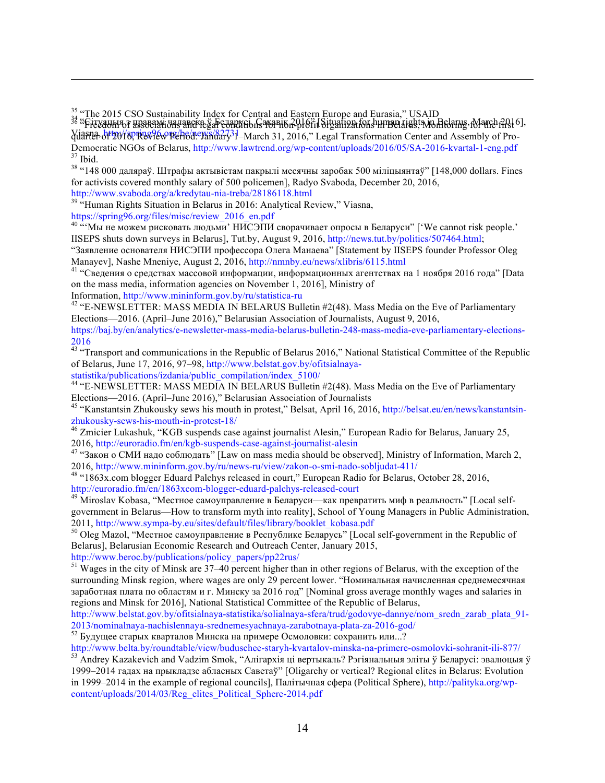<sup>35</sup> "The 2015 CSO Sustainability Index for Central and Eastern Europe and Eurasia," USAID<br><sup>36</sup> : Fizyaum 67 มารถยนต์ day and ball and the conditions that the property of the conditions in Belamy, March 2016], Viasna, http://spring96.org/be/news/82731-March 31, 2016," Legal Transformation Center and Assembly of Pro-Democratic NGOs of Belarus, http://www.lawtrend.org/wp-content/uploads/2016/05/SA-2016-kvartal-1-eng.pdf 37 Ibid.<br><sup>37</sup> Ibid. 38 "148 000 даляраў. Штрафы актывістам пакрылі месячны заробак 500 міліцыянтаў" [148,000 dollars

for activists covered monthly salary of 500 policemen], Radyo Svaboda, December 20, 2016,

http://www.svaboda.org/a/kredytau-nia-treba/28186118.html <sup>39</sup> "Human Rights Situation in Belarus in 2016: Analytical Review," Viasna,

https://spring96.org/files/misc/review\_2016\_en.pdf

 $\overline{a}$ 

 $40$   $\cdots$ Мы не можем рисковать людьми' НИСЭПИ сворачивает опросы в Беларуси" ['We cannot risk people.' IISEPS shuts down surveys in Belarus], Tut.by, August 9, 2016, http://news.tut.by/politics/507464.html;

"Заявление основателя НИСЭПИ профессора Олега Манаева" [Statement by IISEPS founder Professor Oleg Manayev], Nashe Mneniye, August 2, 2016, http://nmnby.eu/news/xlibris/6115.html<br><sup>41</sup> "Сведения о средствах массовой информации, информационных агентствах на 1 ноября 2016 года" [Data

on the mass media, information agencies on November 1, 2016], Ministry of

Information, http://www.mininform.gov.by/ru/statistica-ru<br><sup>42</sup> "E-NEWSLETTER: MASS MEDIA IN BELARUS Bulletin #2(48). Mass Media on the Eve of Parliamentary Elections—2016. (April–June 2016)," Belarusian Association of Journalists, August 9, 2016,

https://baj.by/en/analytics/e-newsletter-mass-media-belarus-bulletin-248-mass-media-eve-parliamentary-elections-2016

<sup>43</sup> "Transport and communications in the Republic of Belarus 2016," National Statistical Committee of the Republic of Belarus, June 17, 2016, 97–98, http://www.belstat.gov.by/ofitsialnaya-<br>statistika/publications/izdania/public\_compilation/index\_5100/

<sup>44</sup> "E-NEWSLETTER: MASS MEDIA IN BELARUS Bulletin #2(48). Mass Media on the Eve of Parliamentary Elections—2016. (April–June 2016)," Belarusian Association of Journalists

<sup>45 "</sup>Kanstantsin Zhukousky sews his mouth in protest," Belsat, April 16, 2016, http://belsat.eu/en/news/kanstantsinzhukousky-sews-his-mouth-in-protest-18/<br><sup>46</sup> Zmicier Lukashuk, "KGB suspends case against journalist Alesin," European Radio for Belarus, January 25,

2016, http://euroradio.fm/en/kgb-suspends-case-against-journalist-alesin <sup>47</sup> "Закон <sup>о</sup> СМИ надо соблюдать" [Law on mass media should be observed], Ministry of Information, March 2,

2016, http://www.mininform.gov.by/ru/news-ru/view/zakon-o-smi-nado-sobljudat-411/<br><sup>48</sup> "1863x.com blogger Eduard Palchys released in court," European Radio for Belarus, October 28, 2016,<br>http://euroradio.fm/en/1863xcom-blo

<sup>49</sup> Miroslav Kobasa, "Местное самоуправление в Беларуси—как превратить миф в реальность" [Local selfgovernment in Belarus—How to transform myth into reality], School of Young Managers in Public Administration, 2011, http://www.sympa-by.eu/sites/default/files/library/booklet\_kobasa.pdf<br><sup>50</sup> Oleg Mazol, "Местное самоуправление в Республике Беларусь" [Local self-government in the Republic of

Belarusl. Belarusian Economic Research and Outreach Center, January 2015,

http://www.beroc.by/publications/policy\_papers/pp22rus/

 $51 \text{ Wages}$  in the city of Minsk are  $37-40$  percent higher than in other regions of Belarus, with the exception of the surrounding Minsk region, where wages are only 29 percent lower. "Номинальная начисленная среднемесячная заработная плата по областям и г. Минску за 2016 год" [Nominal gross average monthly wages and salaries in regions and Minsk for 2016], National Statistical Committee of the Republic of Belarus,

http://www.belstat.gov.by/ofitsialnaya-statistika/solialnaya-sfera/trud/godovye-dannye/nom\_sredn\_zarab\_plata\_91- 2013/nominalnaya-nachislennaya-srednemesyachnaya-zarabotnaya-plata-za-2016-god/<br><sup>52</sup> Будущее старых кварталов Минска на примере Осмоловки: сохранить или...?<br>http://www.belta.by/roundtable/view/buduschee-staryh-kvartalov-m

 $53$  Andrey Kazakevich and Vadzim Smok, "Алігархія ці вертыкаль? Рэгіянальныя эліты ў Беларусі: эвалюцыя ў 1999–2014 гадах на прыкладзе абласных Саветаў" [Oligarchy or vertical? Regional elites in Belarus: Evolution in 1999–2014 in the example of regional councils], Палітычная сфера (Political Sphere), http://palityka.org/wpcontent/uploads/2014/03/Reg\_elites\_Political\_Sphere-2014.pdf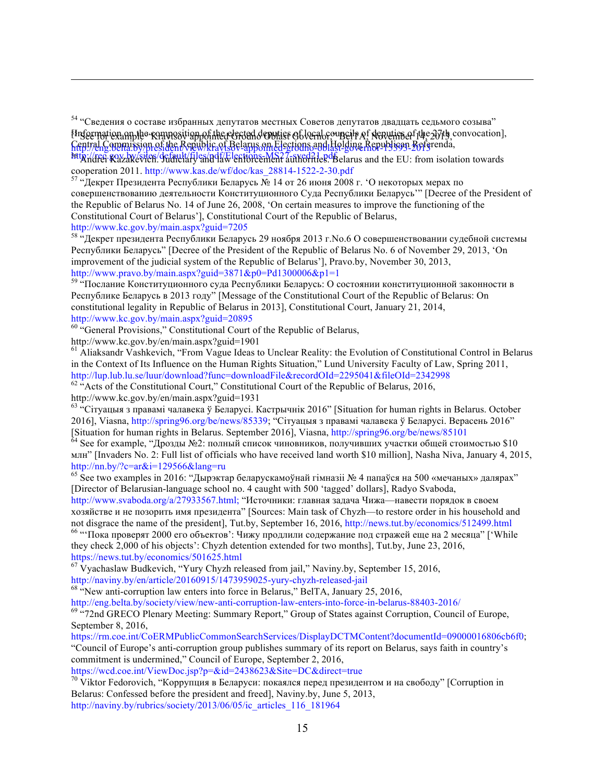<sup>54</sup> "Сведения о составе избранных депутатов местных Советов депутатов двадцать седьмого созыва" Enformation on the Runnesytion of the elected deputies of local councils  $A_1$  deputies of the 27th, convocation], Central Commission of the Republic of Belarus on Elections and Holding Republican Referenda, Kept/eng.opha.stypp.exiden/vsplw)kravt.stylarpsom.edegrions.apglastigung.Keptionsgn\_repterenda,<br>http://eng.beira.stypp.exiden/vsplw)kravt.stylarpsom.edegrions.apglastigung.Keptions.gn\_repterenda,

cooperation 2011. http://www.kas.de/wf/doc/kas\_28814-1522-2-30.pdf <sup>57</sup> "Декрет Президента Республики Беларусь № 14 от <sup>26</sup>июня <sup>2008</sup>г. '<sup>О</sup> некоторых мерах по

совершенствованию деятельности Конституционного Суда Республики Беларусь'" [Decree of the President of the Republic of Belarus No. 14 of June 26, 2008, 'On certain measures to improve the functioning of the Constitutional Court of Belarus'], Constitutional Court of the Republic of Belarus, http://www.kc.gov.by/main.aspx?guid=7205

<sup>58 "</sup>Декрет президента Республики Беларусь 29 ноября 2013 г. No.6 О совершенствовании судебной системы Республики Беларусь" [Decree of the President of the Republic of Belarus No. 6 of November 29, 2013, 'On improvement of the judicial system of the Republic of Belarus'], Pravo.by, November 30, 2013, http://www.pravo.by/main.aspx?guid=3871&p0=Pd1300006&p1=1

<sup>59 "</sup>Послание Конституционного суда Республики Беларусь: О состоянии конституционной законности в Республике Беларусь в 2013 году" [Message of the Constitutional Court of the Republic of Belarus: On constitutional legality in Republic of Belarus in 2013], Constitutional Court, January 21, 2014,

http://www.kc.gov.by/main.aspx?guid=20895<br><sup>60</sup> "General Provisions," Constitutional Court of the Republic of Belarus,

http://www.kc.gov.by/en/main.aspx?guid=1901

 $\overline{a}$ 

<sup>61</sup> Aliaksandr Vashkevich, "From Vague Ideas to Unclear Reality: the Evolution of Constitutional Control in Belarus in the Context of Its Influence on the Human Rights Situation," Lund University Faculty of Law, Spring 2011, http://lup.lub.lu.se/luur/download?func=downloadFile&recordOId=2295041&fileOId=2342998

 $h^2$  "Acts of the Constitutional Court," Constitutional Court of the Republic of Belarus, 2016, http://www.kc.gov.by/en/main.aspx?guid=1931

<sup>63</sup> "Сітуацыя з правамі чалавека ў Беларусі. Кастрычнік 2016" [Situation for human rights in Belarus. October 2016], Viasna, http://spring96.org/be/news/85339; "Сітуацыя з правамі чалавека ў Беларусі. Верасень 2016" [Situation for human rights in Belarus. September 2016], Viasna, http://spring96.org/be/news/85101 <sup>64</sup> See for example, "Дрозды №2: полный список чиновников, получивших участки общей стоимостью \$10

млн" [Invaders No. 2: Full list of officials who have received land worth \$10 million], Nasha Niva, January 4, 2015, http://nn.by/?c=ar&i=129566&lang=ru

<sup>65</sup> See two examples in 2016: "Дырэктар беларускамоўнай гімназіі № 4 папаўся на 500 «мечаных» далярах" [Director of Belarusian-language school no. 4 caught with 500 'tagged' dollars], Radyo Svaboda,

http://www.svaboda.org/a/27933567.html; "Источники: главная задача Чижа—навести порядок в своем хозяйстве и не позорить имя президента" [Sources: Main task of Chyzh—to restore order in his household and not disgrace the name of the president], Tut.by, September 16, 2016, http://news.tut.by/economics/512499.html 66 "Пока проверят 2000 его объектов': Чижу продлили содержание под стражей еще на 2 месяца" ['While they check 2,000 of his objects': Chyzh detention extended for two months], Tut.by, June 23, 2016, https://news.tut.by/economics/501625.html

 $67$  Vyachaslaw Budkevich, "Yury Chyzh released from jail," Naviny.by, September 15, 2016, http://naviny.by/en/article/20160915/1473959025-yury-chyzh-released-jail

<sup>68</sup> "New anti-corruption law enters into force in Belarus," BelTA, January 25, 2016,<br>http://eng.belta.by/society/view/new-anti-corruption-law-enters-into-force-in-belarus-88403-2016/

<sup>69 "</sup>72nd GRECO Plenary Meeting: Summary Report," Group of States against Corruption, Council of Europe, September 8, 2016,

https://rm.coe.int/CoERMPublicCommonSearchServices/DisplayDCTMContent?documentId=09000016806cb6f0; "Council of Europe's anti-corruption group publishes summary of its report on Belarus, says faith in country's commitment is undermined," Council of Europe, September 2, 2016,

https://wcd.coe.int/ViewDoc.jsp?p=&id=2438623&Site=DC&direct=true<br><sup>70</sup> Viktor Fedorovich, "Коррупция в Беларуси: покаялся перед президентом и на свободу" [Corruption in Belarus: Confessed before the president and freed], Naviny.by, June 5, 2013, http://naviny.by/rubrics/society/2013/06/05/ic\_articles\_116\_181964